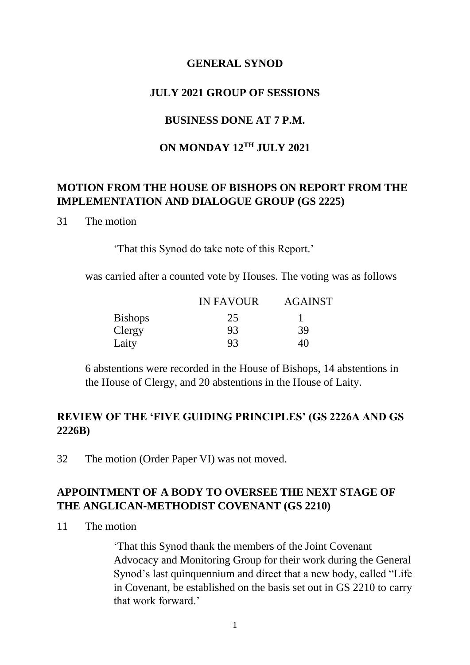#### **GENERAL SYNOD**

#### **JULY 2021 GROUP OF SESSIONS**

### **BUSINESS DONE AT 7 P.M.**

#### **ON MONDAY 12TH JULY 2021**

### **MOTION FROM THE HOUSE OF BISHOPS ON REPORT FROM THE IMPLEMENTATION AND DIALOGUE GROUP (GS 2225)**

#### 31 The motion

'That this Synod do take note of this Report.'

was carried after a counted vote by Houses. The voting was as follows

|                | <b>IN FAVOUR</b> | <b>AGAINST</b> |
|----------------|------------------|----------------|
| <b>Bishops</b> | 25               |                |
| Clergy         | 93               | 39             |
| Laity          | 93               | 40             |

6 abstentions were recorded in the House of Bishops, 14 abstentions in the House of Clergy, and 20 abstentions in the House of Laity.

### **REVIEW OF THE 'FIVE GUIDING PRINCIPLES' (GS 2226A AND GS 2226B)**

32 The motion (Order Paper VI) was not moved.

### **APPOINTMENT OF A BODY TO OVERSEE THE NEXT STAGE OF THE ANGLICAN-METHODIST COVENANT (GS 2210)**

11 The motion

'That this Synod thank the members of the Joint Covenant Advocacy and Monitoring Group for their work during the General Synod's last quinquennium and direct that a new body, called "Life in Covenant, be established on the basis set out in GS 2210 to carry that work forward.'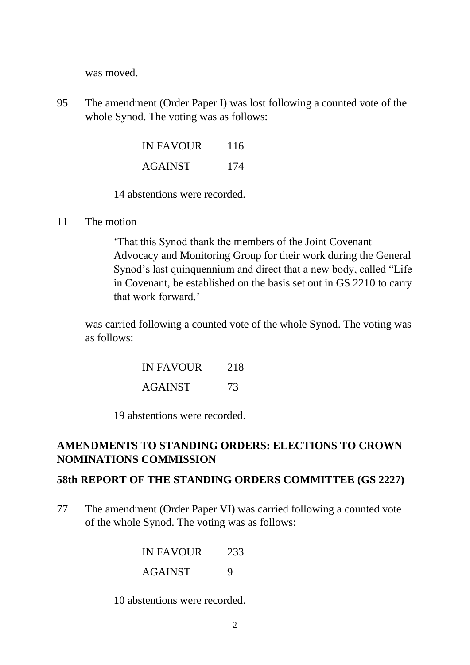was moved.

95 The amendment (Order Paper I) was lost following a counted vote of the whole Synod. The voting was as follows:

| <b>IN FAVOUR</b> | 116 |
|------------------|-----|
| <b>AGAINST</b>   | 174 |

14 abstentions were recorded.

11 The motion

'That this Synod thank the members of the Joint Covenant Advocacy and Monitoring Group for their work during the General Synod's last quinquennium and direct that a new body, called "Life in Covenant, be established on the basis set out in GS 2210 to carry that work forward.'

was carried following a counted vote of the whole Synod. The voting was as follows:

| <b>IN FAVOUR</b> | 218 |
|------------------|-----|
| <b>AGAINST</b>   | 73  |

19 abstentions were recorded.

# **AMENDMENTS TO STANDING ORDERS: ELECTIONS TO CROWN NOMINATIONS COMMISSION**

### **58th REPORT OF THE STANDING ORDERS COMMITTEE (GS 2227)**

77 The amendment (Order Paper VI) was carried following a counted vote of the whole Synod. The voting was as follows:

> IN FAVOUR<sub>233</sub> AGAINST 9

10 abstentions were recorded.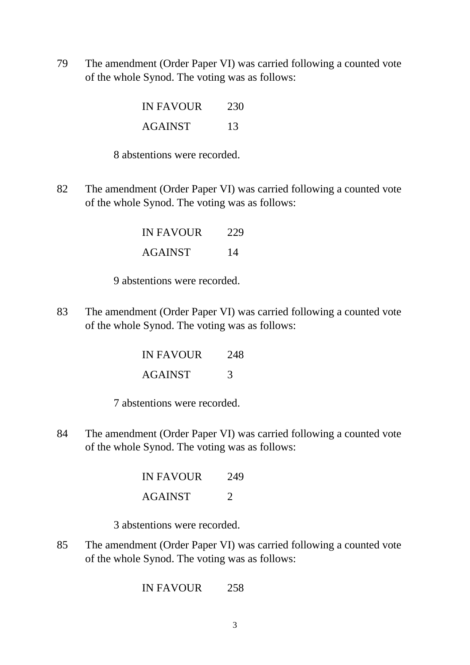79 The amendment (Order Paper VI) was carried following a counted vote of the whole Synod. The voting was as follows:

| <b>IN FAVOUR</b> | 230 |
|------------------|-----|
| <b>AGAINST</b>   | 13  |

8 abstentions were recorded.

82 The amendment (Order Paper VI) was carried following a counted vote of the whole Synod. The voting was as follows:

> IN FAVOUR 229 AGAINST 14

9 abstentions were recorded.

83 The amendment (Order Paper VI) was carried following a counted vote of the whole Synod. The voting was as follows:

| IN FAVOUR | 248 |
|-----------|-----|
| AGAINST   | 3   |

7 abstentions were recorded.

84 The amendment (Order Paper VI) was carried following a counted vote of the whole Synod. The voting was as follows:

| IN FAVOUR | 249                                                                                                                                                                    |
|-----------|------------------------------------------------------------------------------------------------------------------------------------------------------------------------|
| AGAINST   | $\mathcal{D}% =\mathcal{D}(\mathcal{D})=\mathcal{D}(\mathcal{D})=\mathcal{D}(\mathcal{D})=\mathcal{D}(\mathcal{D})=\mathcal{D}(\mathcal{D})=\mathcal{D}(\mathcal{D}).$ |

3 abstentions were recorded.

85 The amendment (Order Paper VI) was carried following a counted vote of the whole Synod. The voting was as follows:

IN FAVOUR 258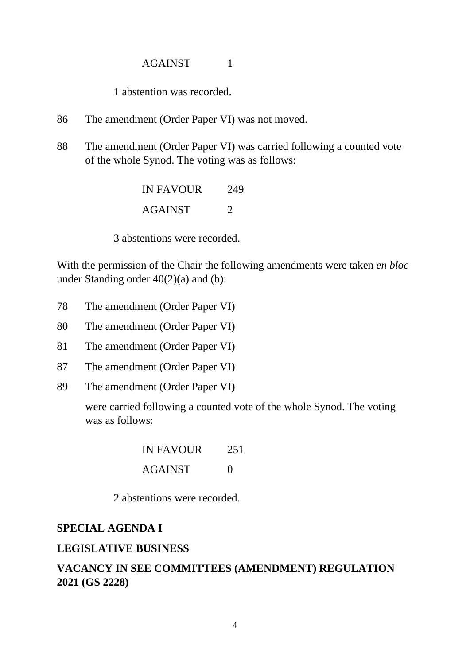### AGAINST 1

1 abstention was recorded.

- 86 The amendment (Order Paper VI) was not moved.
- 88 The amendment (Order Paper VI) was carried following a counted vote of the whole Synod. The voting was as follows:

IN FAVOUR<sub>249</sub> AGAINST 2

3 abstentions were recorded.

With the permission of the Chair the following amendments were taken *en bloc* under Standing order 40(2)(a) and (b):

- 78 The amendment (Order Paper VI)
- 80 The amendment (Order Paper VI)
- 81 The amendment (Order Paper VI)
- 87 The amendment (Order Paper VI)
- 89 The amendment (Order Paper VI)

were carried following a counted vote of the whole Synod. The voting was as follows:

| <b>IN FAVOUR</b> | 251               |
|------------------|-------------------|
| <b>AGAINST</b>   | $\mathbf{\Omega}$ |

2 abstentions were recorded.

#### **SPECIAL AGENDA I**

#### **LEGISLATIVE BUSINESS**

# **VACANCY IN SEE COMMITTEES (AMENDMENT) REGULATION 2021 (GS 2228)**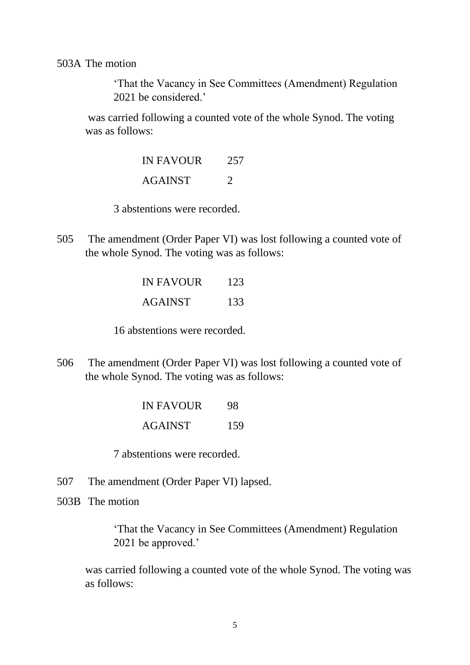503A The motion

'That the Vacancy in See Committees (Amendment) Regulation 2021 be considered.'

was carried following a counted vote of the whole Synod. The voting was as follows:

> IN FAVOUR 257 AGAINST 2

3 abstentions were recorded.

505 The amendment (Order Paper VI) was lost following a counted vote of the whole Synod. The voting was as follows:

> IN FAVOUR<sub>123</sub> AGAINST 133

16 abstentions were recorded.

506 The amendment (Order Paper VI) was lost following a counted vote of the whole Synod. The voting was as follows:

> IN FAVOUR 98 AGAINST 159

7 abstentions were recorded.

- 507 The amendment (Order Paper VI) lapsed.
- 503B The motion

'That the Vacancy in See Committees (Amendment) Regulation 2021 be approved.'

was carried following a counted vote of the whole Synod. The voting was as follows: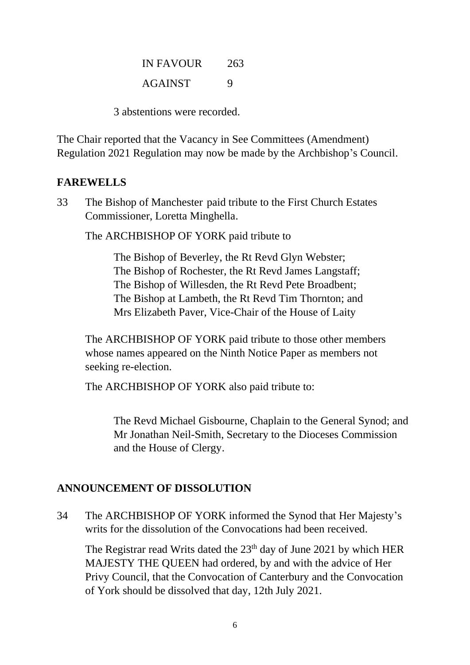| <b>IN FAVOUR</b> | 263 |
|------------------|-----|
| <b>AGAINST</b>   | 9   |

3 abstentions were recorded.

The Chair reported that the Vacancy in See Committees (Amendment) Regulation 2021 Regulation may now be made by the Archbishop's Council.

# **FAREWELLS**

33 The Bishop of Manchester paid tribute to the First Church Estates Commissioner, Loretta Minghella.

The ARCHBISHOP OF YORK paid tribute to

The Bishop of Beverley, the Rt Revd Glyn Webster; The Bishop of Rochester, the Rt Revd James Langstaff; The Bishop of Willesden, the Rt Revd Pete Broadbent; The Bishop at Lambeth, the Rt Revd Tim Thornton; and Mrs Elizabeth Paver, Vice-Chair of the House of Laity

The ARCHBISHOP OF YORK paid tribute to those other members whose names appeared on the Ninth Notice Paper as members not seeking re-election.

The ARCHBISHOP OF YORK also paid tribute to:

The Revd Michael Gisbourne, Chaplain to the General Synod; and Mr Jonathan Neil-Smith, Secretary to the Dioceses Commission and the House of Clergy.

# **ANNOUNCEMENT OF DISSOLUTION**

34 The ARCHBISHOP OF YORK informed the Synod that Her Majesty's writs for the dissolution of the Convocations had been received.

The Registrar read Writs dated the  $23<sup>th</sup>$  day of June 2021 by which HER MAJESTY THE QUEEN had ordered, by and with the advice of Her Privy Council, that the Convocation of Canterbury and the Convocation of York should be dissolved that day, 12th July 2021.